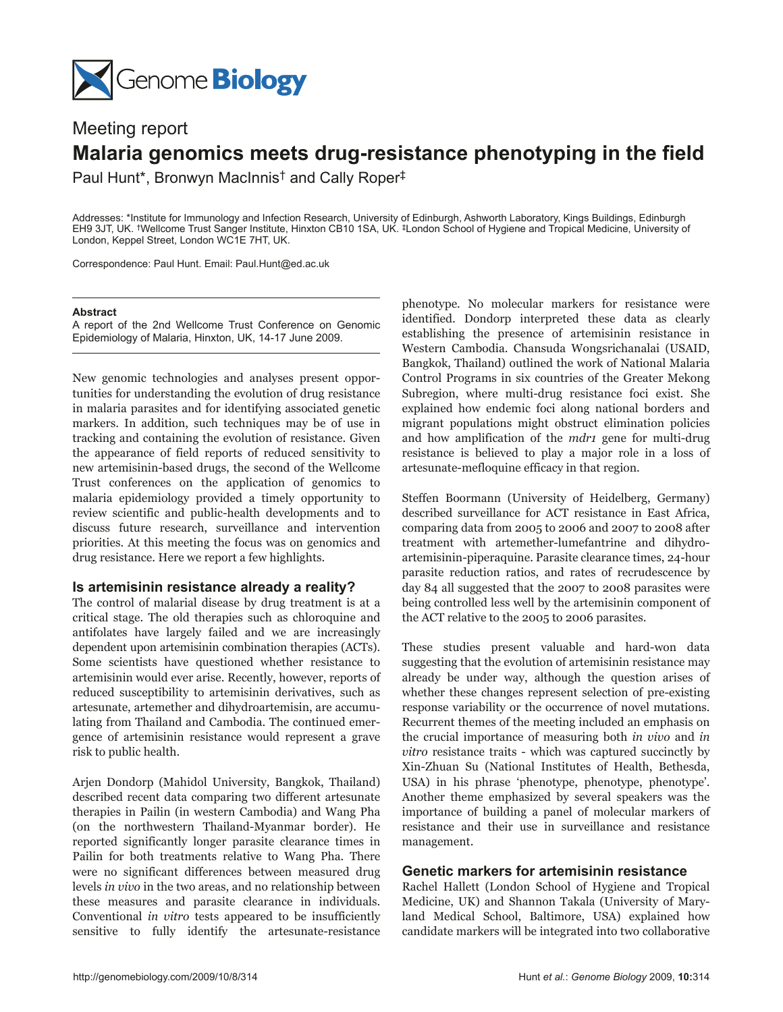

# Meeting report **Malaria genomics meets drug-resistance phenotyping in the field**

Paul Hunt\*, Bronwyn MacInnis† and Cally Roper‡

Addresses: \*Institute for Immunology and Infection Research, University of Edinburgh, Ashworth Laboratory, Kings Buildings, Edinburgh EH9 3JT, UK. †Wellcome Trust Sanger Institute, Hinxton CB10 1SA, UK. ‡London School of Hygiene and Tropical Medicine, University of London, Keppel Street, London WC1E 7HT, UK.

Correspondence: Paul Hunt. Email: Paul.Hunt@ed.ac.uk

#### **Abstract**

A report of the 2nd Wellcome Trust Conference on Genomic Epidemiology of Malaria, Hinxton, UK, 14-17 June 2009.

New genomic technologies and analyses present opportunities for understanding the evolution of drug resistance in malaria parasites and for identifying associated genetic markers. In addition, such techniques may be of use in tracking and containing the evolution of resistance. Given the appearance of field reports of reduced sensitivity to new artemisinin-based drugs, the second of the Wellcome Trust conferences on the application of genomics to malaria epidemiology provided a timely opportunity to review scientific and public-health developments and to discuss future research, surveillance and intervention priorities. At this meeting the focus was on genomics and drug resistance. Here we report a few highlights.

#### **Is artemisinin resistance already a reality?**

The control of malarial disease by drug treatment is at a critical stage. The old therapies such as chloroquine and antifolates have largely failed and we are increasingly dependent upon artemisinin combination therapies (ACTs). Some scientists have questioned whether resistance to artemisinin would ever arise. Recently, however, reports of reduced susceptibility to artemisinin derivatives, such as artesunate, artemether and dihydroartemisin, are accumulating from Thailand and Cambodia. The continued emergence of artemisinin resistance would represent a grave risk to public health.

Arjen Dondorp (Mahidol University, Bangkok, Thailand) described recent data comparing two different artesunate therapies in Pailin (in western Cambodia) and Wang Pha (on the northwestern Thailand-Myanmar border). He reported significantly longer parasite clearance times in Pailin for both treatments relative to Wang Pha. There were no significant differences between measured drug levels *in vivo* in the two areas, and no relationship between these measures and parasite clearance in individuals. Conventional *in vitro* tests appeared to be insufficiently sensitive to fully identify the artesunate-resistance

phenotype. No molecular markers for resistance were identified. Dondorp interpreted these data as clearly establishing the presence of artemisinin resistance in Western Cambodia. Chansuda Wongsrichanalai (USAID, Bangkok, Thailand) outlined the work of National Malaria Control Programs in six countries of the Greater Mekong Subregion, where multi-drug resistance foci exist. She explained how endemic foci along national borders and migrant populations might obstruct elimination policies and how amplification of the *mdr1* gene for multi-drug resistance is believed to play a major role in a loss of artesunate-mefloquine efficacy in that region.

Steffen Boormann (University of Heidelberg, Germany) described surveillance for ACT resistance in East Africa, comparing data from 2005 to 2006 and 2007 to 2008 after treatment with artemether-lumefantrine and dihydroartemisinin-piperaquine. Parasite clearance times, 24-hour parasite reduction ratios, and rates of recrudescence by day 84 all suggested that the 2007 to 2008 parasites were being controlled less well by the artemisinin component of the ACT relative to the 2005 to 2006 parasites.

These studies present valuable and hard-won data suggesting that the evolution of artemisinin resistance may already be under way, although the question arises of whether these changes represent selection of pre-existing response variability or the occurrence of novel mutations. Recurrent themes of the meeting included an emphasis on the crucial importance of measuring both *in vivo* and *in vitro* resistance traits - which was captured succinctly by Xin-Zhuan Su (National Institutes of Health, Bethesda, USA) in his phrase 'phenotype, phenotype, phenotype'. Another theme emphasized by several speakers was the importance of building a panel of molecular markers of resistance and their use in surveillance and resistance management.

## **Genetic markers for artemisinin resistance**

Rachel Hallett (London School of Hygiene and Tropical Medicine, UK) and Shannon Takala (University of Maryland Medical School, Baltimore, USA) explained how candidate markers will be integrated into two collaborative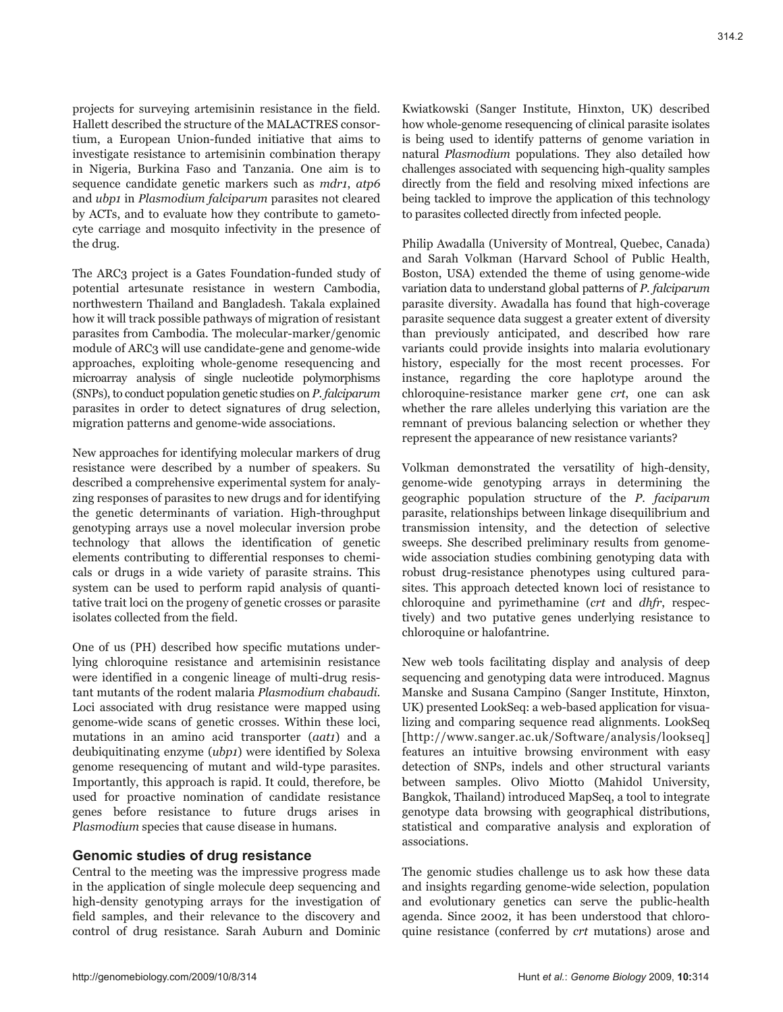projects for surveying artemisinin resistance in the field. Hallett described the structure of the MALACTRES consortium, a European Union-funded initiative that aims to investigate resistance to artemisinin combination therapy in Nigeria, Burkina Faso and Tanzania. One aim is to sequence candidate genetic markers such as *mdr1*, *atp6* and *ubp1* in *Plasmodium falciparum* parasites not cleared by ACTs, and to evaluate how they contribute to gametocyte carriage and mosquito infectivity in the presence of the drug.

The ARC3 project is a Gates Foundation-funded study of potential artesunate resistance in western Cambodia, northwestern Thailand and Bangladesh. Takala explained how it will track possible pathways of migration of resistant parasites from Cambodia. The molecular-marker/genomic module of ARC3 will use candidate-gene and genome-wide approaches, exploiting whole-genome resequencing and microarray analysis of single nucleotide polymorphisms (SNPs), to conduct population genetic studies on *P. falciparum* parasites in order to detect signatures of drug selection, migration patterns and genome-wide associations.

New approaches for identifying molecular markers of drug resistance were described by a number of speakers. Su described a comprehensive experimental system for analyzing responses of parasites to new drugs and for identifying the genetic determinants of variation. High-throughput genotyping arrays use a novel molecular inversion probe technology that allows the identification of genetic elements contributing to differential responses to chemicals or drugs in a wide variety of parasite strains. This system can be used to perform rapid analysis of quantitative trait loci on the progeny of genetic crosses or parasite isolates collected from the field.

One of us (PH) described how specific mutations underlying chloroquine resistance and artemisinin resistance were identified in a congenic lineage of multi-drug resistant mutants of the rodent malaria *Plasmodium chabaudi*. Loci associated with drug resistance were mapped using genome-wide scans of genetic crosses. Within these loci, mutations in an amino acid transporter (*aat1*) and a deubiquitinating enzyme (*ubp1*) were identified by Solexa genome resequencing of mutant and wild-type parasites. Importantly, this approach is rapid. It could, therefore, be used for proactive nomination of candidate resistance genes before resistance to future drugs arises in *Plasmodium* species that cause disease in humans.

## **Genomic studies of drug resistance**

Central to the meeting was the impressive progress made in the application of single molecule deep sequencing and high-density genotyping arrays for the investigation of field samples, and their relevance to the discovery and control of drug resistance. Sarah Auburn and Dominic

Kwiatkowski (Sanger Institute, Hinxton, UK) described how whole-genome resequencing of clinical parasite isolates is being used to identify patterns of genome variation in natural *Plasmodium* populations. They also detailed how challenges associated with sequencing high-quality samples directly from the field and resolving mixed infections are being tackled to improve the application of this technology to parasites collected directly from infected people.

Philip Awadalla (University of Montreal, Quebec, Canada) and Sarah Volkman (Harvard School of Public Health, Boston, USA) extended the theme of using genome-wide variation data to understand global patterns of *P. falciparum*  parasite diversity. Awadalla has found that high-coverage parasite sequence data suggest a greater extent of diversity than previously anticipated, and described how rare variants could provide insights into malaria evolutionary history, especially for the most recent processes. For instance, regarding the core haplotype around the chloroquine-resistance marker gene *crt*, one can ask whether the rare alleles underlying this variation are the remnant of previous balancing selection or whether they represent the appearance of new resistance variants?

Volkman demonstrated the versatility of high-density, genome-wide genotyping arrays in determining the geographic population structure of the *P. faciparum* parasite, relationships between linkage disequilibrium and transmission intensity, and the detection of selective sweeps. She described preliminary results from genomewide association studies combining genotyping data with robust drug-resistance phenotypes using cultured parasites. This approach detected known loci of resistance to chloroquine and pyrimethamine (*crt* and *dhfr*, respectively) and two putative genes underlying resistance to chloroquine or halofantrine.

New web tools facilitating display and analysis of deep sequencing and genotyping data were introduced. Magnus Manske and Susana Campino (Sanger Institute, Hinxton, UK) presented LookSeq: a web-based application for visualizing and comparing sequence read alignments. LookSeq [http://www.sanger.ac.uk/Software/analysis/lookseq] features an intuitive browsing environment with easy detection of SNPs, indels and other structural variants between samples. Olivo Miotto (Mahidol University, Bangkok, Thailand) introduced MapSeq, a tool to integrate genotype data browsing with geographical distributions, statistical and comparative analysis and exploration of associations.

The genomic studies challenge us to ask how these data and insights regarding genome-wide selection, population and evolutionary genetics can serve the public-health agenda. Since 2002, it has been understood that chloroquine resistance (conferred by *crt* mutations) arose and